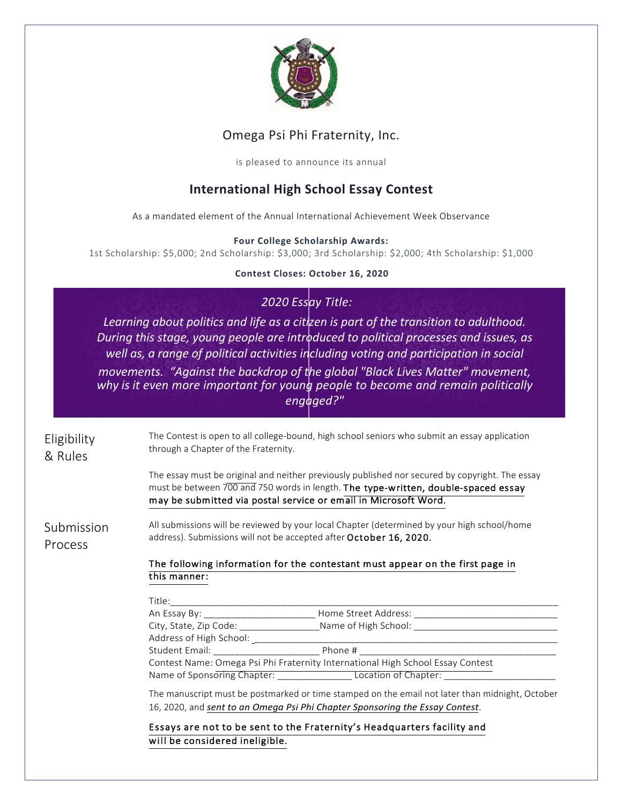

## Omega Psi Phi Fraternity, Inc.

is pleased to announce its annual

# **International High School Essay Contest**

As a mandated element of the Annual International Achievement Week Observance

#### **Four College Scholarship Awards:**

1st Scholarship: \$5,000; 2nd Scholarship: \$3,000; 3rd Scholarship: \$2,000; 4th Scholarship: \$1,000

#### **Contest Closes: October 16, 2020**

### *2020 Essay Title:*

Learning about politics and life as a citizen is part of the transition to adulthood. *During this stage, young people are introduced to political processes and issues, as* well as, a range of political activities including voting and participation in social *movements.* "Against the backdrop of the global "Black Lives Matter" movement, why is it even more important for young people to become and remain politically *engaged?"* 

Eligibility & Rules The Contest is open to all college-bound, high school seniors who submit an essay application through a Chapter of the Fraternity.

> The essay must be original and neither previously published nor secured by copyright. The essay must be between 700 and 750 words in length. The type-written, double-spaced essay may be submitted via postal service or email in Microsoft Word.

Submission Process All submissions will be reviewed by your local Chapter (determined by your high school/home address). Submissions will not be accepted after October 16, 2020.

#### The following information for the contestant must appear on the first page in this manner:

| Title:                                                                         |                      |
|--------------------------------------------------------------------------------|----------------------|
| An Essay By:                                                                   | Home Street Address: |
| City, State, Zip Code:                                                         | Name of High School: |
| Address of High School:                                                        |                      |
| Student Email:                                                                 | Phone #              |
| Contest Name: Omega Psi Phi Fraternity International High School Essay Contest |                      |
| Name of Sponsoring Chapter:                                                    | Location of Chapter: |

The manuscript must be postmarked or time stamped on the email not later than midnight, October 16, 2020, and *sent* to an Omega Psi Phi Chapter Sponsoring the Essay Contest.

Essays are not to be sent to the Fraternity's Headquarters facility and will be considered ineligible.